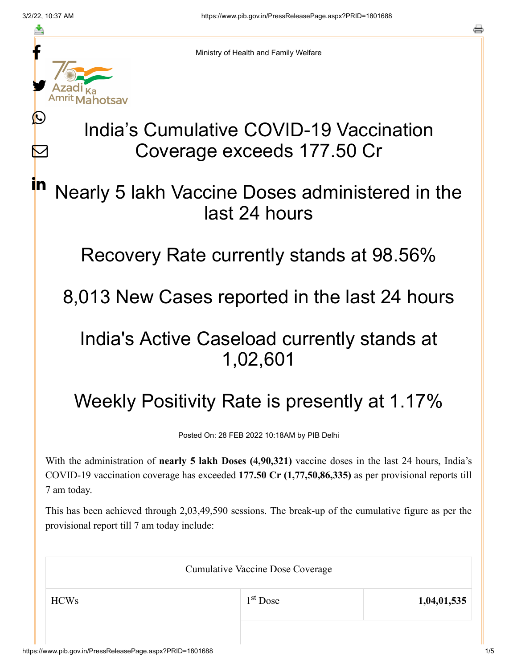≛

Ŀ

 $\bm{\nabla}$ 

in



Ministry of Health and Family Welfare

# India's Cumulative COVID-19 Vaccination Coverage exceeds 177.50 Cr

## Nearly 5 lakh Vaccine Doses administered in the last 24 hours

Recovery Rate currently stands at 98.56%

8,013 New Cases reported in the last 24 hours

## India's Active Caseload currently stands at 1,02,601

# Weekly Positivity Rate is presently at 1.17%

Posted On: 28 FEB 2022 10:18AM by PIB Delhi

With the administration of **nearly 5 lakh Doses (4,90,321)** vaccine doses in the last 24 hours, India's COVID-19 vaccination coverage has exceeded **177.50 Cr (1,77,50,86,335)** as per provisional reports till 7 am today.

This has been achieved through 2,03,49,590 sessions. The break-up of the cumulative figure as per the provisional report till 7 am today include:

| <b>Cumulative Vaccine Dose Coverage</b> |            |             |  |
|-----------------------------------------|------------|-------------|--|
| <b>HCWs</b>                             | $1st$ Dose | 1,04,01,535 |  |
|                                         |            |             |  |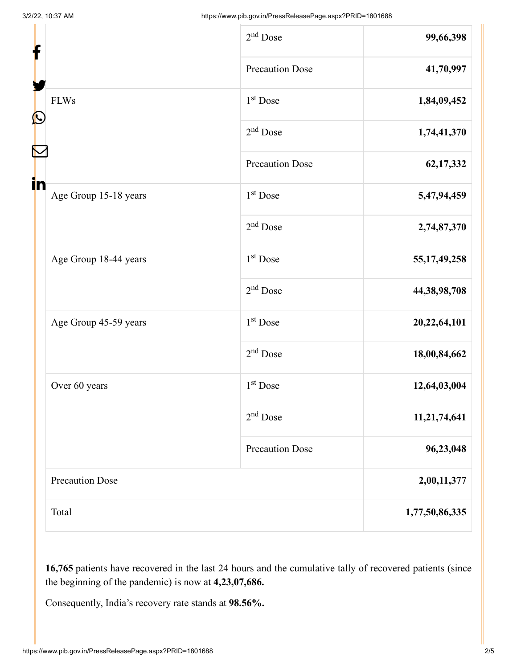| f                           | $2nd$ Dose             | 99,66,398       |
|-----------------------------|------------------------|-----------------|
|                             | <b>Precaution Dose</b> | 41,70,997       |
| <b>FLWs</b>                 | $1st$ Dose             | 1,84,09,452     |
| C                           | 2 <sup>nd</sup> Dose   | 1,74,41,370     |
|                             | <b>Precaution Dose</b> | 62,17,332       |
| in<br>Age Group 15-18 years | 1 <sup>st</sup> Dose   | 5,47,94,459     |
|                             | $2nd$ Dose             | 2,74,87,370     |
| Age Group 18-44 years       | 1 <sup>st</sup> Dose   | 55, 17, 49, 258 |
|                             | $2nd$ Dose             | 44,38,98,708    |
| Age Group 45-59 years       | 1 <sup>st</sup> Dose   | 20,22,64,101    |
|                             | $2nd$ Dose             | 18,00,84,662    |
| Over 60 years               | 1 <sup>st</sup> Dose   | 12,64,03,004    |
|                             | $2nd$ Dose             | 11,21,74,641    |
|                             | <b>Precaution Dose</b> | 96,23,048       |
| <b>Precaution Dose</b>      |                        | 2,00,11,377     |
| Total                       |                        | 1,77,50,86,335  |

**16,765** patients have recovered in the last 24 hours and the cumulative tally of recovered patients (since the beginning of the pandemic) is now at **4,23,07,686.**

Consequently, India's recovery rate stands at **98.56%.**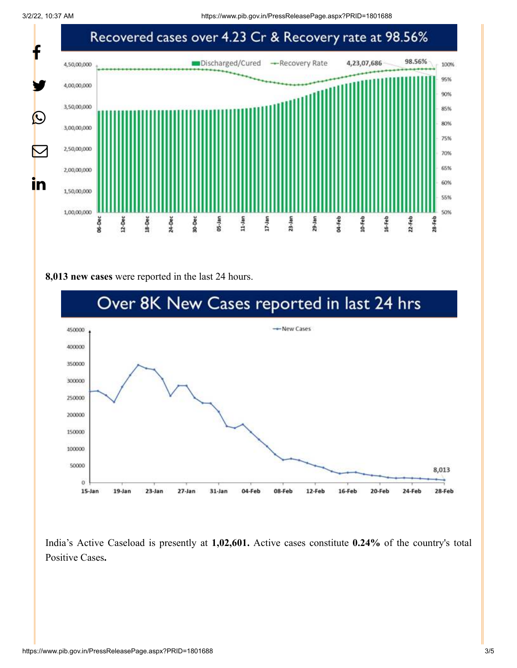

#### **8,013 new cases** were reported in the last 24 hours.



India's Active Caseload is presently at **1,02,601.** Active cases constitute **0.24%** of the country's total Positive Cases**.**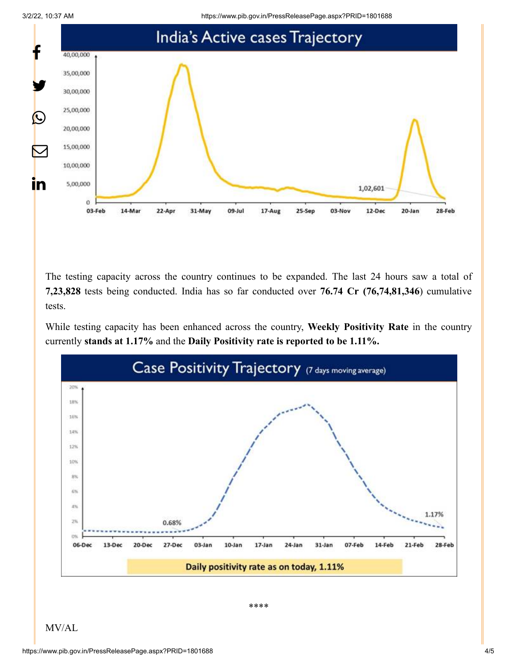3/2/22, 10:37 AM https://www.pib.gov.in/PressReleasePage.aspx?PRID=1801688



The testing capacity across the country continues to be expanded. The last 24 hours saw a total of **7,23,828** tests being conducted. India has so far conducted over **76.74 Cr (76,74,81,346**) cumulative tests.

While testing capacity has been enhanced across the country, **Weekly Positivity Rate** in the country currently **stands at 1.17%** and the **Daily Positivity rate is reported to be 1.11%.**



\*\*\*\*